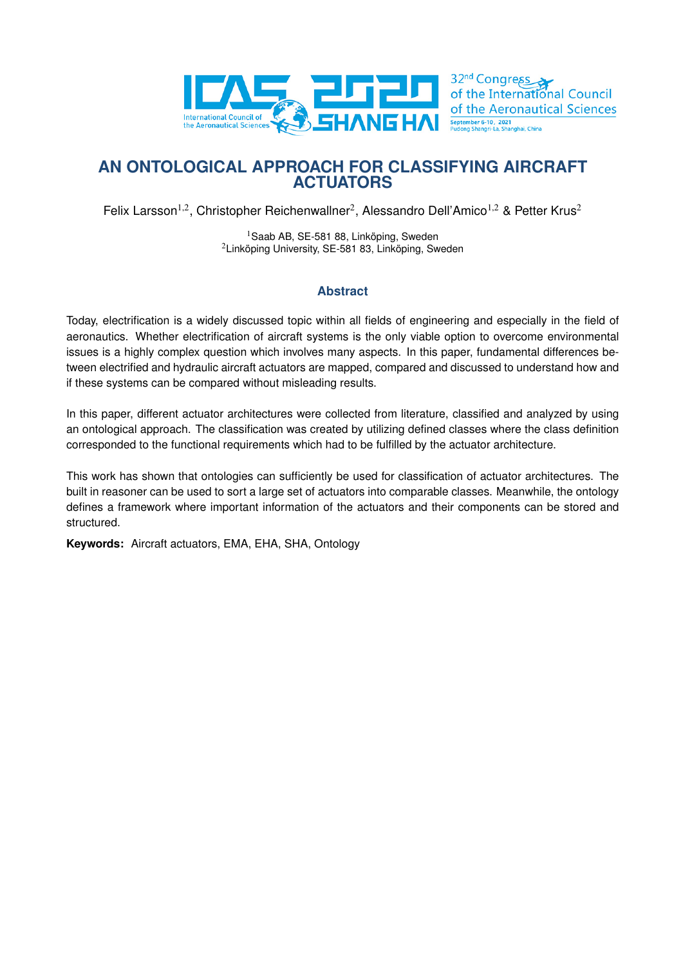

# **AN ONTOLOGICAL APPROACH FOR CLASSIFYING AIRCRAFT ACTUATORS**

Felix Larsson<sup>1,2</sup>, Christopher Reichenwallner<sup>2</sup>, Alessandro Dell'Amico<sup>1,2</sup> & Petter Krus<sup>2</sup>

<sup>1</sup>Saab AB, SE-581 88, Linköping, Sweden <sup>2</sup>Linköping University, SE-581 83, Linköping, Sweden

#### **Abstract**

Today, electrification is a widely discussed topic within all fields of engineering and especially in the field of aeronautics. Whether electrification of aircraft systems is the only viable option to overcome environmental issues is a highly complex question which involves many aspects. In this paper, fundamental differences between electrified and hydraulic aircraft actuators are mapped, compared and discussed to understand how and if these systems can be compared without misleading results.

In this paper, different actuator architectures were collected from literature, classified and analyzed by using an ontological approach. The classification was created by utilizing defined classes where the class definition corresponded to the functional requirements which had to be fulfilled by the actuator architecture.

This work has shown that ontologies can sufficiently be used for classification of actuator architectures. The built in reasoner can be used to sort a large set of actuators into comparable classes. Meanwhile, the ontology defines a framework where important information of the actuators and their components can be stored and structured.

**Keywords:** Aircraft actuators, EMA, EHA, SHA, Ontology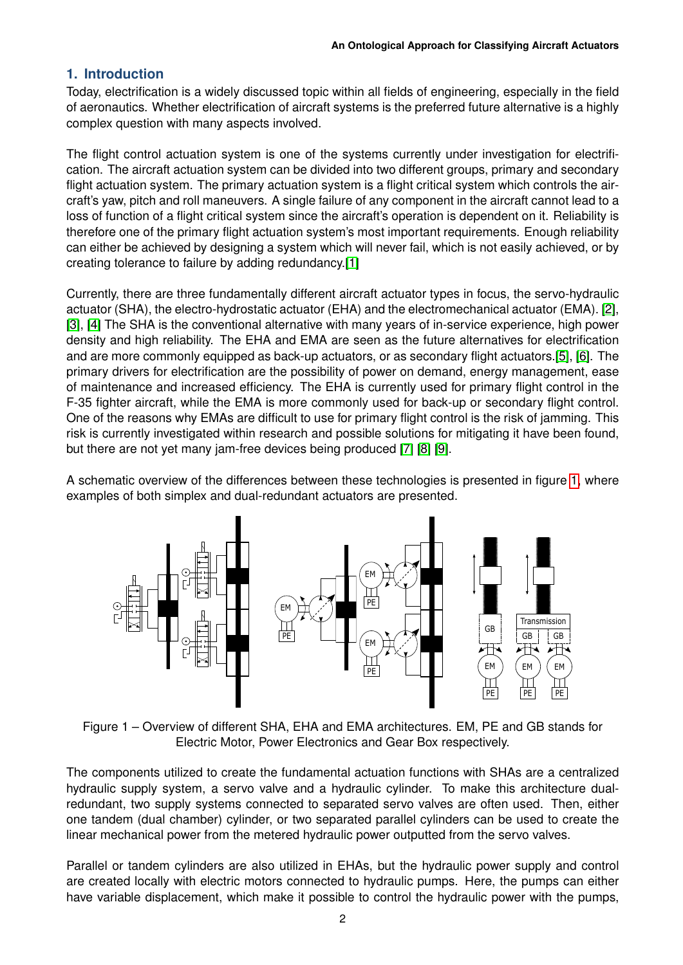## **1. Introduction**

Today, electrification is a widely discussed topic within all fields of engineering, especially in the field of aeronautics. Whether electrification of aircraft systems is the preferred future alternative is a highly complex question with many aspects involved.

The flight control actuation system is one of the systems currently under investigation for electrification. The aircraft actuation system can be divided into two different groups, primary and secondary flight actuation system. The primary actuation system is a flight critical system which controls the aircraft's yaw, pitch and roll maneuvers. A single failure of any component in the aircraft cannot lead to a loss of function of a flight critical system since the aircraft's operation is dependent on it. Reliability is therefore one of the primary flight actuation system's most important requirements. Enough reliability can either be achieved by designing a system which will never fail, which is not easily achieved, or by creating tolerance to failure by adding redundancy.[\[1\]](#page-14-0)

Currently, there are three fundamentally different aircraft actuator types in focus, the servo-hydraulic actuator (SHA), the electro-hydrostatic actuator (EHA) and the electromechanical actuator (EMA). [\[2\]](#page-14-1), [\[3\]](#page-14-2), [\[4\]](#page-14-3) The SHA is the conventional alternative with many years of in-service experience, high power density and high reliability. The EHA and EMA are seen as the future alternatives for electrification and are more commonly equipped as back-up actuators, or as secondary flight actuators.[\[5\]](#page-14-4), [\[6\]](#page-14-5). The primary drivers for electrification are the possibility of power on demand, energy management, ease of maintenance and increased efficiency. The EHA is currently used for primary flight control in the F-35 fighter aircraft, while the EMA is more commonly used for back-up or secondary flight control. One of the reasons why EMAs are difficult to use for primary flight control is the risk of jamming. This risk is currently investigated within research and possible solutions for mitigating it have been found, but there are not yet many jam-free devices being produced [\[7\]](#page-14-6) [\[8\]](#page-14-7) [\[9\]](#page-14-8).

<span id="page-1-0"></span>A schematic overview of the differences between these technologies is presented in figure [1,](#page-1-0) where examples of both simplex and dual-redundant actuators are presented.



Figure 1 – Overview of different SHA, EHA and EMA architectures. EM, PE and GB stands for Electric Motor, Power Electronics and Gear Box respectively.

The components utilized to create the fundamental actuation functions with SHAs are a centralized hydraulic supply system, a servo valve and a hydraulic cylinder. To make this architecture dualredundant, two supply systems connected to separated servo valves are often used. Then, either one tandem (dual chamber) cylinder, or two separated parallel cylinders can be used to create the linear mechanical power from the metered hydraulic power outputted from the servo valves.

Parallel or tandem cylinders are also utilized in EHAs, but the hydraulic power supply and control are created locally with electric motors connected to hydraulic pumps. Here, the pumps can either have variable displacement, which make it possible to control the hydraulic power with the pumps,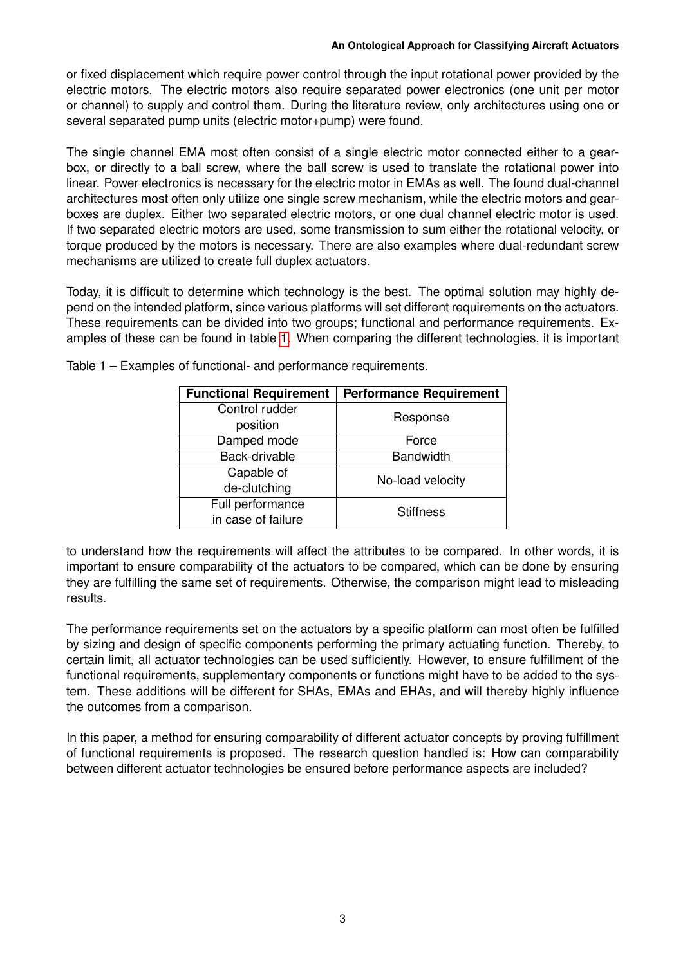or fixed displacement which require power control through the input rotational power provided by the electric motors. The electric motors also require separated power electronics (one unit per motor or channel) to supply and control them. During the literature review, only architectures using one or several separated pump units (electric motor+pump) were found.

The single channel EMA most often consist of a single electric motor connected either to a gearbox, or directly to a ball screw, where the ball screw is used to translate the rotational power into linear. Power electronics is necessary for the electric motor in EMAs as well. The found dual-channel architectures most often only utilize one single screw mechanism, while the electric motors and gearboxes are duplex. Either two separated electric motors, or one dual channel electric motor is used. If two separated electric motors are used, some transmission to sum either the rotational velocity, or torque produced by the motors is necessary. There are also examples where dual-redundant screw mechanisms are utilized to create full duplex actuators.

Today, it is difficult to determine which technology is the best. The optimal solution may highly depend on the intended platform, since various platforms will set different requirements on the actuators. These requirements can be divided into two groups; functional and performance requirements. Examples of these can be found in table [1.](#page-2-0) When comparing the different technologies, it is important

| <b>Functional Requirement</b> | <b>Performance Requirement</b> |  |
|-------------------------------|--------------------------------|--|
| Control rudder                | Response                       |  |
| position                      |                                |  |
| Damped mode                   | Force                          |  |
| Back-drivable                 | <b>Bandwidth</b>               |  |
| Capable of                    | No-load velocity               |  |
| de-clutching                  |                                |  |
| Full performance              | <b>Stiffness</b>               |  |
| in case of failure            |                                |  |

<span id="page-2-0"></span>Table 1 – Examples of functional- and performance requirements.

to understand how the requirements will affect the attributes to be compared. In other words, it is important to ensure comparability of the actuators to be compared, which can be done by ensuring they are fulfilling the same set of requirements. Otherwise, the comparison might lead to misleading results.

The performance requirements set on the actuators by a specific platform can most often be fulfilled by sizing and design of specific components performing the primary actuating function. Thereby, to certain limit, all actuator technologies can be used sufficiently. However, to ensure fulfillment of the functional requirements, supplementary components or functions might have to be added to the system. These additions will be different for SHAs, EMAs and EHAs, and will thereby highly influence the outcomes from a comparison.

In this paper, a method for ensuring comparability of different actuator concepts by proving fulfillment of functional requirements is proposed. The research question handled is: How can comparability between different actuator technologies be ensured before performance aspects are included?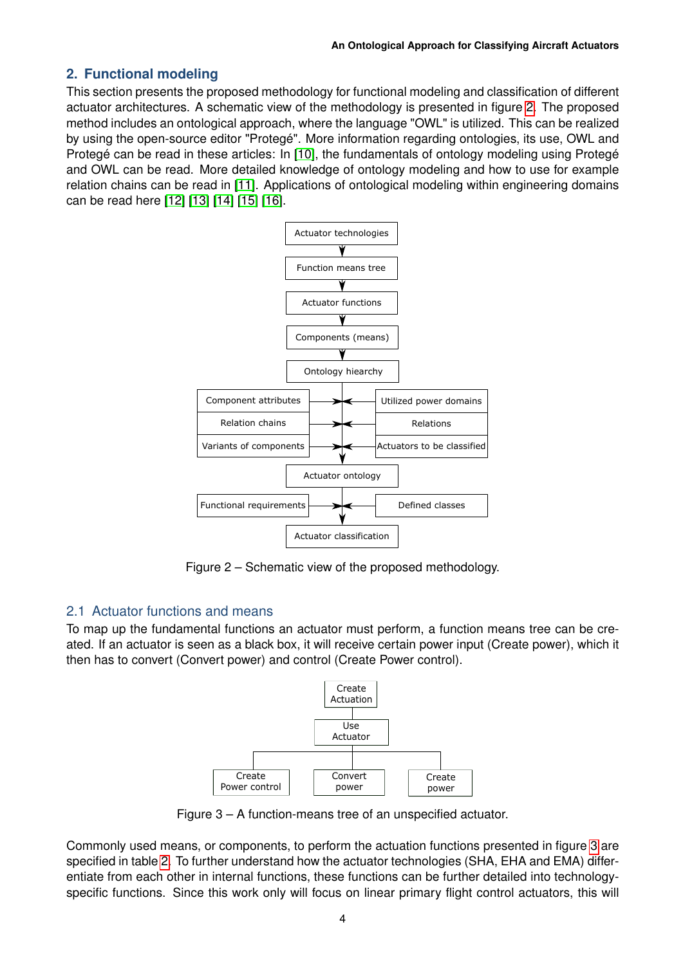# **2. Functional modeling**

This section presents the proposed methodology for functional modeling and classification of different actuator architectures. A schematic view of the methodology is presented in figure [2.](#page-3-0) The proposed method includes an ontological approach, where the language "OWL" is utilized. This can be realized by using the open-source editor "Protegé". More information regarding ontologies, its use, OWL and Protegé can be read in these articles: In [\[10\]](#page-14-9), the fundamentals of ontology modeling using Protegé and OWL can be read. More detailed knowledge of ontology modeling and how to use for example relation chains can be read in [\[11\]](#page-14-10). Applications of ontological modeling within engineering domains can be read here [\[12\]](#page-14-11) [\[13\]](#page-14-12) [\[14\]](#page-14-13) [\[15\]](#page-14-14) [\[16\]](#page-14-15).

<span id="page-3-0"></span>

Figure 2 – Schematic view of the proposed methodology.

## 2.1 Actuator functions and means

<span id="page-3-1"></span>To map up the fundamental functions an actuator must perform, a function means tree can be created. If an actuator is seen as a black box, it will receive certain power input (Create power), which it then has to convert (Convert power) and control (Create Power control).



Figure 3 – A function-means tree of an unspecified actuator.

Commonly used means, or components, to perform the actuation functions presented in figure [3](#page-3-1) are specified in table [2.](#page-4-0) To further understand how the actuator technologies (SHA, EHA and EMA) differentiate from each other in internal functions, these functions can be further detailed into technologyspecific functions. Since this work only will focus on linear primary flight control actuators, this will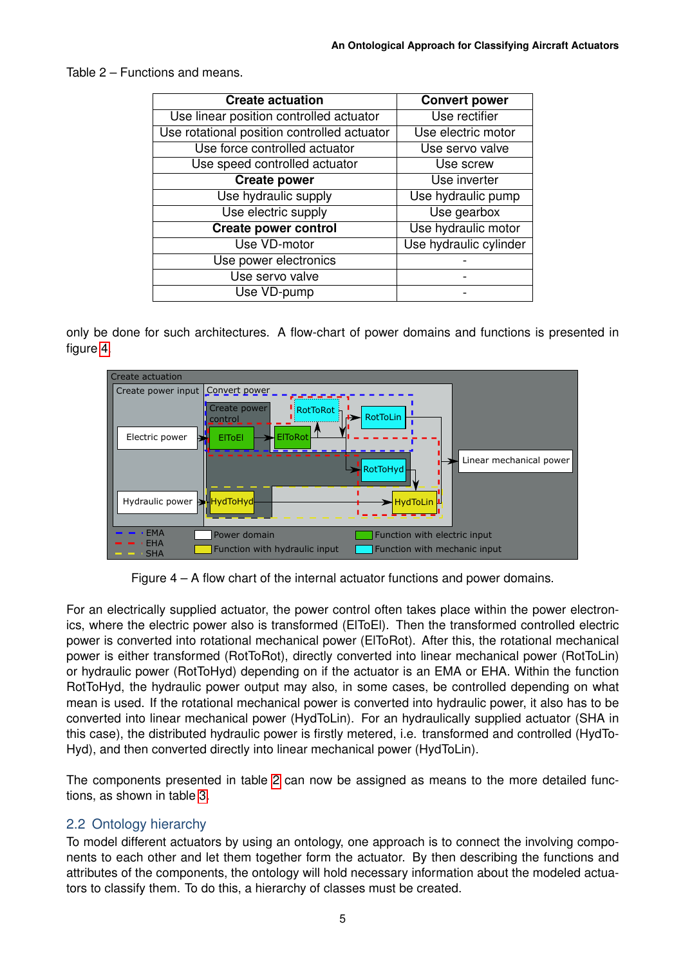<span id="page-4-0"></span>Table 2 – Functions and means.

| <b>Create actuation</b>                     | <b>Convert power</b>   |
|---------------------------------------------|------------------------|
| Use linear position controlled actuator     | Use rectifier          |
| Use rotational position controlled actuator | Use electric motor     |
| Use force controlled actuator               | Use servo valve        |
| Use speed controlled actuator               | Use screw              |
| <b>Create power</b>                         | Use inverter           |
| Use hydraulic supply                        | Use hydraulic pump     |
| Use electric supply                         | Use gearbox            |
| <b>Create power control</b>                 | Use hydraulic motor    |
| Use VD-motor                                | Use hydraulic cylinder |
| Use power electronics                       |                        |
| Use servo valve                             |                        |
| Use VD-pump                                 |                        |

only be done for such architectures. A flow-chart of power domains and functions is presented in figure [4.](#page-4-1)

<span id="page-4-1"></span>

Figure 4 – A flow chart of the internal actuator functions and power domains.

For an electrically supplied actuator, the power control often takes place within the power electronics, where the electric power also is transformed (ElToEl). Then the transformed controlled electric power is converted into rotational mechanical power (ElToRot). After this, the rotational mechanical power is either transformed (RotToRot), directly converted into linear mechanical power (RotToLin) or hydraulic power (RotToHyd) depending on if the actuator is an EMA or EHA. Within the function RotToHyd, the hydraulic power output may also, in some cases, be controlled depending on what mean is used. If the rotational mechanical power is converted into hydraulic power, it also has to be converted into linear mechanical power (HydToLin). For an hydraulically supplied actuator (SHA in this case), the distributed hydraulic power is firstly metered, i.e. transformed and controlled (HydTo-Hyd), and then converted directly into linear mechanical power (HydToLin).

The components presented in table [2](#page-4-0) can now be assigned as means to the more detailed functions, as shown in table [3.](#page-5-0)

## 2.2 Ontology hierarchy

To model different actuators by using an ontology, one approach is to connect the involving components to each other and let them together form the actuator. By then describing the functions and attributes of the components, the ontology will hold necessary information about the modeled actuators to classify them. To do this, a hierarchy of classes must be created.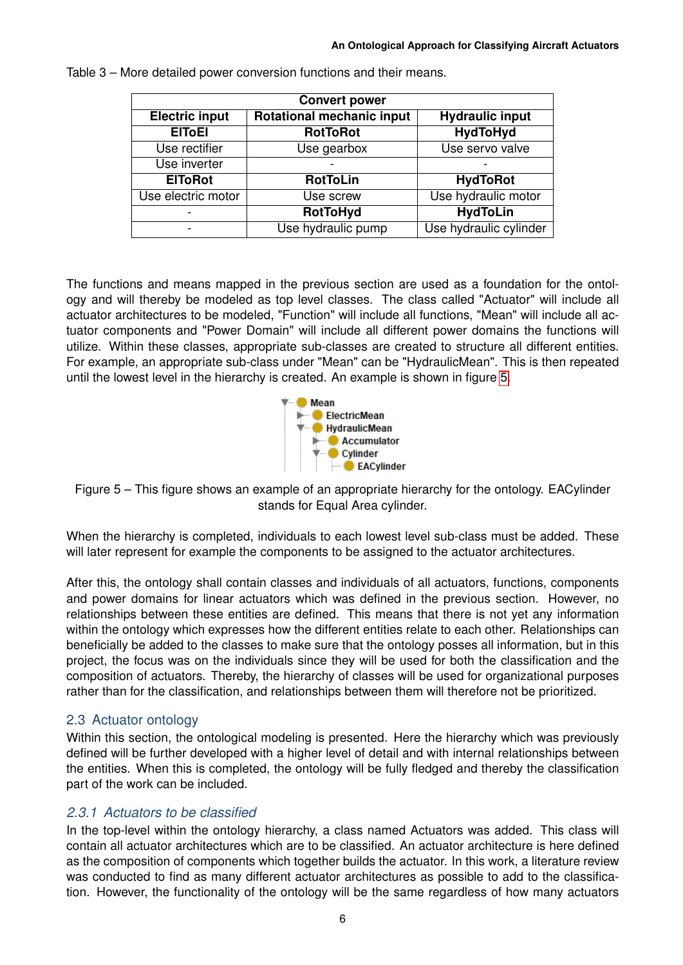| <b>Convert power</b>                                                                |                    |                        |  |  |
|-------------------------------------------------------------------------------------|--------------------|------------------------|--|--|
| <b>Rotational mechanic input</b><br><b>Electric input</b><br><b>Hydraulic input</b> |                    |                        |  |  |
| <b>EITOEI</b>                                                                       | <b>RotToRot</b>    | <b>HydToHyd</b>        |  |  |
| Use rectifier                                                                       | Use gearbox        | Use servo valve        |  |  |
| Use inverter                                                                        |                    |                        |  |  |
| <b>EIToRot</b>                                                                      | <b>RotToLin</b>    | <b>HydToRot</b>        |  |  |
| Use electric motor                                                                  | Use screw          | Use hydraulic motor    |  |  |
|                                                                                     | <b>RotToHyd</b>    |                        |  |  |
|                                                                                     | Use hydraulic pump | Use hydraulic cylinder |  |  |

<span id="page-5-0"></span>Table 3 – More detailed power conversion functions and their means.

The functions and means mapped in the previous section are used as a foundation for the ontology and will thereby be modeled as top level classes. The class called "Actuator" will include all actuator architectures to be modeled, "Function" will include all functions, "Mean" will include all actuator components and "Power Domain" will include all different power domains the functions will utilize. Within these classes, appropriate sub-classes are created to structure all different entities. For example, an appropriate sub-class under "Mean" can be "HydraulicMean". This is then repeated until the lowest level in the hierarchy is created. An example is shown in figure [5.](#page-5-1)



<span id="page-5-1"></span>Figure 5 – This figure shows an example of an appropriate hierarchy for the ontology. EACylinder stands for Equal Area cylinder.

When the hierarchy is completed, individuals to each lowest level sub-class must be added. These will later represent for example the components to be assigned to the actuator architectures.

After this, the ontology shall contain classes and individuals of all actuators, functions, components and power domains for linear actuators which was defined in the previous section. However, no relationships between these entities are defined. This means that there is not yet any information within the ontology which expresses how the different entities relate to each other. Relationships can beneficially be added to the classes to make sure that the ontology posses all information, but in this project, the focus was on the individuals since they will be used for both the classification and the composition of actuators. Thereby, the hierarchy of classes will be used for organizational purposes rather than for the classification, and relationships between them will therefore not be prioritized.

## 2.3 Actuator ontology

Within this section, the ontological modeling is presented. Here the hierarchy which was previously defined will be further developed with a higher level of detail and with internal relationships between the entities. When this is completed, the ontology will be fully fledged and thereby the classification part of the work can be included.

## *2.3.1 Actuators to be classified*

In the top-level within the ontology hierarchy, a class named Actuators was added. This class will contain all actuator architectures which are to be classified. An actuator architecture is here defined as the composition of components which together builds the actuator. In this work, a literature review was conducted to find as many different actuator architectures as possible to add to the classification. However, the functionality of the ontology will be the same regardless of how many actuators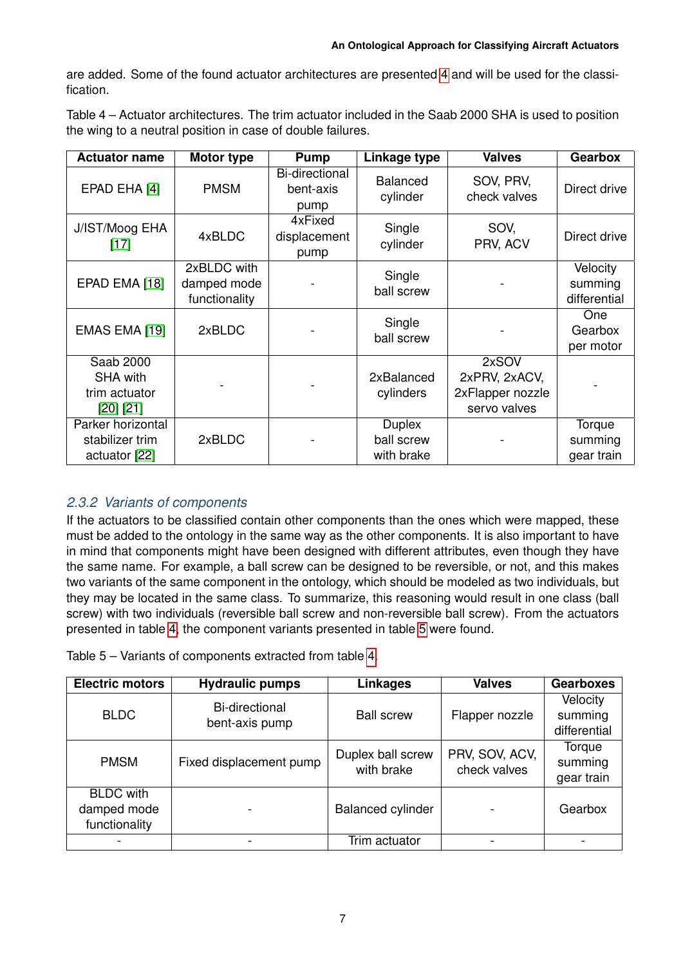are added. Some of the found actuator architectures are presented [4](#page-6-0) and will be used for the classification.

<span id="page-6-0"></span>Table 4 – Actuator architectures. The trim actuator included in the Saab 2000 SHA is used to position the wing to a neutral position in case of double failures.

| <b>Actuator name</b>                                       | Motor type                                  | Pump                                       | Linkage type                              | <b>Valves</b>                                              | <b>Gearbox</b>                      |
|------------------------------------------------------------|---------------------------------------------|--------------------------------------------|-------------------------------------------|------------------------------------------------------------|-------------------------------------|
| EPAD EHA [4]                                               | <b>PMSM</b>                                 | <b>Bi-directional</b><br>bent-axis<br>pump | <b>Balanced</b><br>cylinder               | SOV, PRV,<br>check valves                                  | Direct drive                        |
| J/IST/Moog EHA<br>$[17]$                                   | 4xBLDC                                      | 4xFixed<br>displacement<br>pump            | Single<br>cylinder                        | SOV,<br>PRV, ACV                                           | Direct drive                        |
| EPAD EMA [18]                                              | 2xBLDC with<br>damped mode<br>functionality |                                            | Single<br>ball screw                      |                                                            | Velocity<br>summing<br>differential |
| EMAS EMA [19]                                              | 2xBLDC                                      |                                            | Single<br>ball screw                      |                                                            | One<br>Gearbox<br>per motor         |
| Saab 2000<br><b>SHA with</b><br>trim actuator<br>[20] [21] |                                             |                                            | 2xBalanced<br>cylinders                   | 2xSOV<br>2xPRV, 2xACV,<br>2xFlapper nozzle<br>servo valves |                                     |
| Parker horizontal<br>stabilizer trim<br>actuator [22]      | 2xBLDC                                      |                                            | <b>Duplex</b><br>ball screw<br>with brake |                                                            | Torque<br>summing<br>gear train     |

# *2.3.2 Variants of components*

If the actuators to be classified contain other components than the ones which were mapped, these must be added to the ontology in the same way as the other components. It is also important to have in mind that components might have been designed with different attributes, even though they have the same name. For example, a ball screw can be designed to be reversible, or not, and this makes two variants of the same component in the ontology, which should be modeled as two individuals, but they may be located in the same class. To summarize, this reasoning would result in one class (ball screw) with two individuals (reversible ball screw and non-reversible ball screw). From the actuators presented in table [4,](#page-6-0) the component variants presented in table [5](#page-6-1) were found.

<span id="page-6-1"></span>Table 5 – Variants of components extracted from table [4.](#page-6-0)

| <b>Hydraulic pumps</b><br><b>Electric motors</b> |                                  | <b>Linkages</b>                 | <b>Valves</b>                  | <b>Gearboxes</b>                    |
|--------------------------------------------------|----------------------------------|---------------------------------|--------------------------------|-------------------------------------|
| <b>BLDC</b>                                      | Bi-directional<br>bent-axis pump | <b>Ball screw</b>               | Flapper nozzle                 | Velocity<br>summing<br>differential |
| <b>PMSM</b>                                      | Fixed displacement pump          | Duplex ball screw<br>with brake | PRV, SOV, ACV,<br>check valves | Torque<br>summing<br>gear train     |
| <b>BLDC</b> with<br>damped mode<br>functionality |                                  | <b>Balanced cylinder</b>        |                                | Gearbox                             |
|                                                  |                                  | Trim actuator                   |                                |                                     |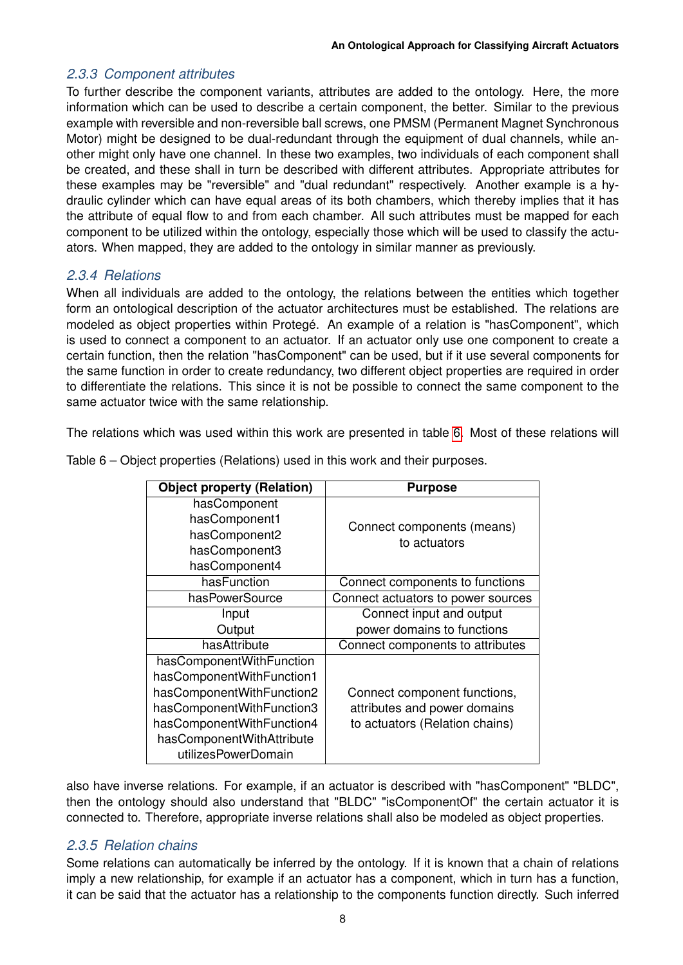## *2.3.3 Component attributes*

To further describe the component variants, attributes are added to the ontology. Here, the more information which can be used to describe a certain component, the better. Similar to the previous example with reversible and non-reversible ball screws, one PMSM (Permanent Magnet Synchronous Motor) might be designed to be dual-redundant through the equipment of dual channels, while another might only have one channel. In these two examples, two individuals of each component shall be created, and these shall in turn be described with different attributes. Appropriate attributes for these examples may be "reversible" and "dual redundant" respectively. Another example is a hydraulic cylinder which can have equal areas of its both chambers, which thereby implies that it has the attribute of equal flow to and from each chamber. All such attributes must be mapped for each component to be utilized within the ontology, especially those which will be used to classify the actuators. When mapped, they are added to the ontology in similar manner as previously.

## *2.3.4 Relations*

When all individuals are added to the ontology, the relations between the entities which together form an ontological description of the actuator architectures must be established. The relations are modeled as object properties within Protegé. An example of a relation is "hasComponent", which is used to connect a component to an actuator. If an actuator only use one component to create a certain function, then the relation "hasComponent" can be used, but if it use several components for the same function in order to create redundancy, two different object properties are required in order to differentiate the relations. This since it is not be possible to connect the same component to the same actuator twice with the same relationship.

The relations which was used within this work are presented in table [6.](#page-7-0) Most of these relations will

| <b>Object property (Relation)</b> | <b>Purpose</b>                     |
|-----------------------------------|------------------------------------|
| hasComponent                      |                                    |
| hasComponent1                     | Connect components (means)         |
| hasComponent2                     | to actuators                       |
| hasComponent3                     |                                    |
| hasComponent4                     |                                    |
| hasFunction                       | Connect components to functions    |
| hasPowerSource                    | Connect actuators to power sources |
| Input                             | Connect input and output           |
| Output                            | power domains to functions         |
| hasAttribute                      | Connect components to attributes   |
| hasComponentWithFunction          |                                    |
| hasComponentWithFunction1         |                                    |
| hasComponentWithFunction2         | Connect component functions,       |
| hasComponentWithFunction3         | attributes and power domains       |
| hasComponentWithFunction4         | to actuators (Relation chains)     |
| hasComponentWithAttribute         |                                    |
| utilizesPowerDomain               |                                    |

<span id="page-7-0"></span>Table 6 – Object properties (Relations) used in this work and their purposes.

also have inverse relations. For example, if an actuator is described with "hasComponent" "BLDC", then the ontology should also understand that "BLDC" "isComponentOf" the certain actuator it is connected to. Therefore, appropriate inverse relations shall also be modeled as object properties.

## *2.3.5 Relation chains*

Some relations can automatically be inferred by the ontology. If it is known that a chain of relations imply a new relationship, for example if an actuator has a component, which in turn has a function, it can be said that the actuator has a relationship to the components function directly. Such inferred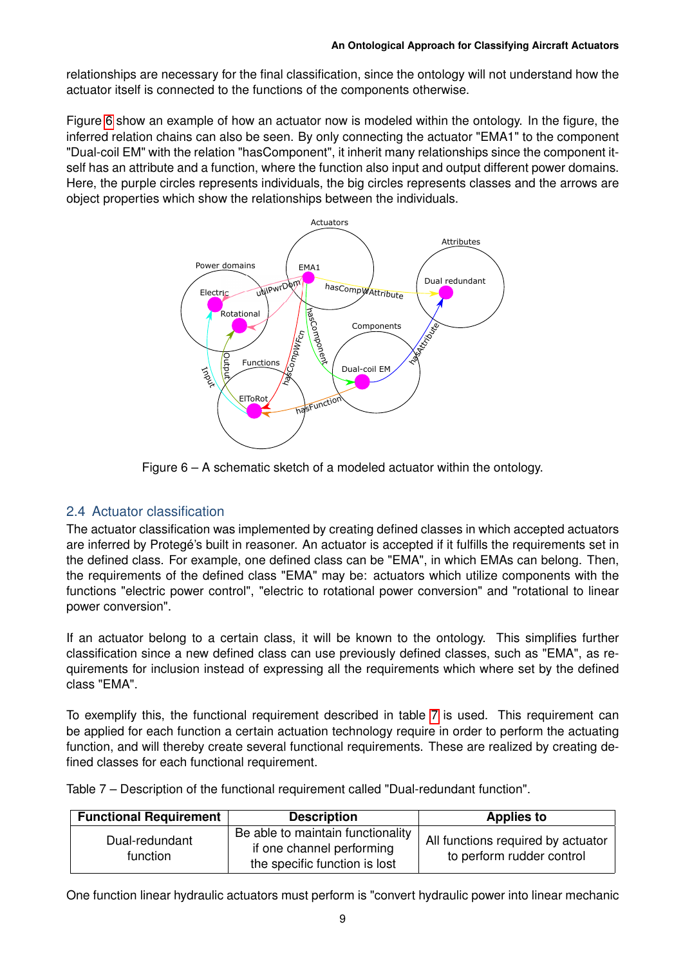relationships are necessary for the final classification, since the ontology will not understand how the actuator itself is connected to the functions of the components otherwise.

<span id="page-8-0"></span>Figure [6](#page-8-0) show an example of how an actuator now is modeled within the ontology. In the figure, the inferred relation chains can also be seen. By only connecting the actuator "EMA1" to the component "Dual-coil EM" with the relation "hasComponent", it inherit many relationships since the component itself has an attribute and a function, where the function also input and output different power domains. Here, the purple circles represents individuals, the big circles represents classes and the arrows are object properties which show the relationships between the individuals.



Figure 6 – A schematic sketch of a modeled actuator within the ontology.

# 2.4 Actuator classification

The actuator classification was implemented by creating defined classes in which accepted actuators are inferred by Protegé's built in reasoner. An actuator is accepted if it fulfills the requirements set in the defined class. For example, one defined class can be "EMA", in which EMAs can belong. Then, the requirements of the defined class "EMA" may be: actuators which utilize components with the functions "electric power control", "electric to rotational power conversion" and "rotational to linear power conversion".

If an actuator belong to a certain class, it will be known to the ontology. This simplifies further classification since a new defined class can use previously defined classes, such as "EMA", as requirements for inclusion instead of expressing all the requirements which where set by the defined class "EMA".

To exemplify this, the functional requirement described in table [7](#page-8-1) is used. This requirement can be applied for each function a certain actuation technology require in order to perform the actuating function, and will thereby create several functional requirements. These are realized by creating defined classes for each functional requirement.

<span id="page-8-1"></span>Table 7 – Description of the functional requirement called "Dual-redundant function".

| <b>Functional Requirement</b> | <b>Description</b>                                                                              | <b>Applies to</b>                                               |
|-------------------------------|-------------------------------------------------------------------------------------------------|-----------------------------------------------------------------|
| Dual-redundant<br>function    | Be able to maintain functionality<br>if one channel performing<br>the specific function is lost | All functions required by actuator<br>to perform rudder control |

One function linear hydraulic actuators must perform is "convert hydraulic power into linear mechanic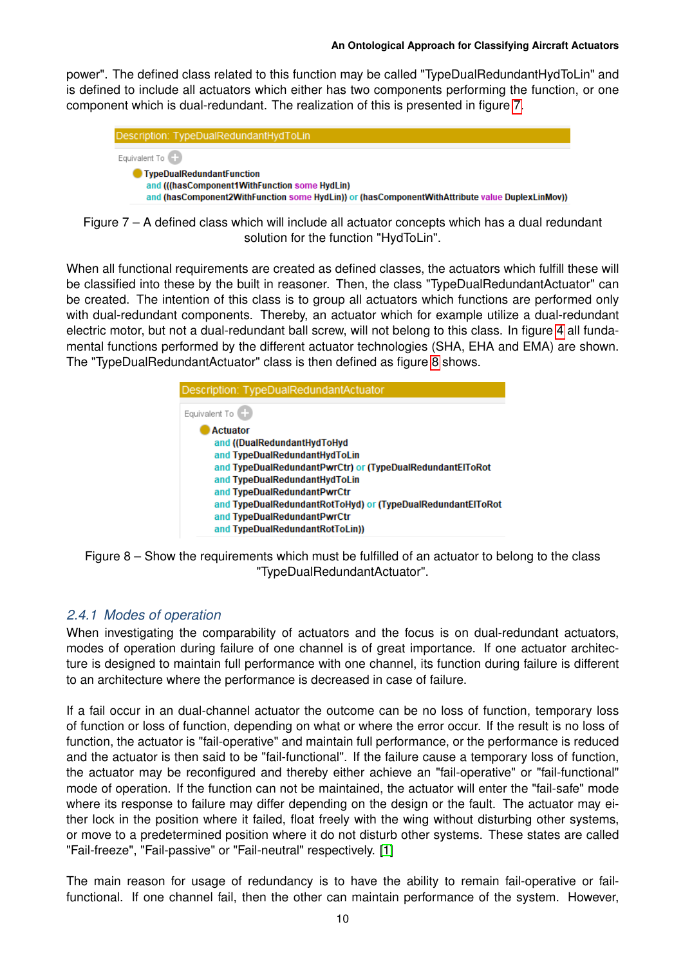power". The defined class related to this function may be called "TypeDualRedundantHydToLin" and is defined to include all actuators which either has two components performing the function, or one component which is dual-redundant. The realization of this is presented in figure [7.](#page-9-0)

<span id="page-9-0"></span>

|                 | Description: TypeDualRedundantHydToLin                                                                                                           |
|-----------------|--------------------------------------------------------------------------------------------------------------------------------------------------|
| Equivalent To ( |                                                                                                                                                  |
|                 |                                                                                                                                                  |
|                 | <b>TypeDualRedundantFunction</b>                                                                                                                 |
|                 | and (((hasComponent1WithFunction some HydLin)<br>and (hasComponent2WithFunction some HydLin)) or (hasComponentWithAttribute value DuplexLinMov)) |

Figure 7 – A defined class which will include all actuator concepts which has a dual redundant solution for the function "HydToLin".

When all functional requirements are created as defined classes, the actuators which fulfill these will be classified into these by the built in reasoner. Then, the class "TypeDualRedundantActuator" can be created. The intention of this class is to group all actuators which functions are performed only with dual-redundant components. Thereby, an actuator which for example utilize a dual-redundant electric motor, but not a dual-redundant ball screw, will not belong to this class. In figure [4](#page-4-1) all fundamental functions performed by the different actuator technologies (SHA, EHA and EMA) are shown. The "TypeDualRedundantActuator" class is then defined as figure [8](#page-9-1) shows.

<span id="page-9-1"></span>



# *2.4.1 Modes of operation*

When investigating the comparability of actuators and the focus is on dual-redundant actuators, modes of operation during failure of one channel is of great importance. If one actuator architecture is designed to maintain full performance with one channel, its function during failure is different to an architecture where the performance is decreased in case of failure.

If a fail occur in an dual-channel actuator the outcome can be no loss of function, temporary loss of function or loss of function, depending on what or where the error occur. If the result is no loss of function, the actuator is "fail-operative" and maintain full performance, or the performance is reduced and the actuator is then said to be "fail-functional". If the failure cause a temporary loss of function, the actuator may be reconfigured and thereby either achieve an "fail-operative" or "fail-functional" mode of operation. If the function can not be maintained, the actuator will enter the "fail-safe" mode where its response to failure may differ depending on the design or the fault. The actuator may either lock in the position where it failed, float freely with the wing without disturbing other systems, or move to a predetermined position where it do not disturb other systems. These states are called "Fail-freeze", "Fail-passive" or "Fail-neutral" respectively. [\[1\]](#page-14-0)

The main reason for usage of redundancy is to have the ability to remain fail-operative or failfunctional. If one channel fail, then the other can maintain performance of the system. However,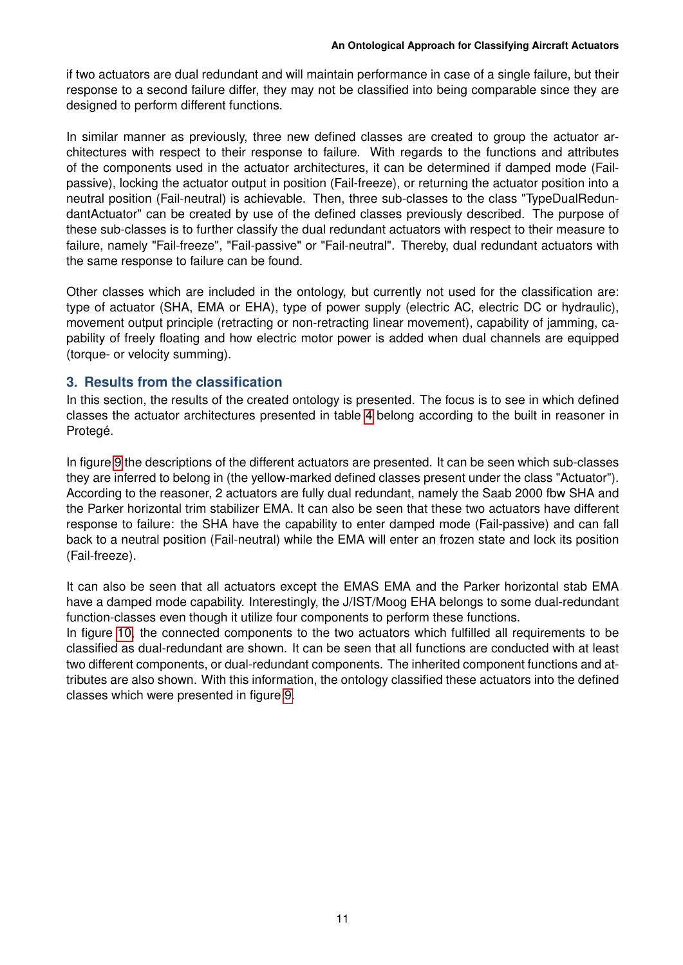if two actuators are dual redundant and will maintain performance in case of a single failure, but their response to a second failure differ, they may not be classified into being comparable since they are designed to perform different functions.

In similar manner as previously, three new defined classes are created to group the actuator architectures with respect to their response to failure. With regards to the functions and attributes of the components used in the actuator architectures, it can be determined if damped mode (Failpassive), locking the actuator output in position (Fail-freeze), or returning the actuator position into a neutral position (Fail-neutral) is achievable. Then, three sub-classes to the class "TypeDualRedundantActuator" can be created by use of the defined classes previously described. The purpose of these sub-classes is to further classify the dual redundant actuators with respect to their measure to failure, namely "Fail-freeze", "Fail-passive" or "Fail-neutral". Thereby, dual redundant actuators with the same response to failure can be found.

Other classes which are included in the ontology, but currently not used for the classification are: type of actuator (SHA, EMA or EHA), type of power supply (electric AC, electric DC or hydraulic), movement output principle (retracting or non-retracting linear movement), capability of jamming, capability of freely floating and how electric motor power is added when dual channels are equipped (torque- or velocity summing).

## **3. Results from the classification**

In this section, the results of the created ontology is presented. The focus is to see in which defined classes the actuator architectures presented in table [4](#page-6-0) belong according to the built in reasoner in Protegé.

In figure [9](#page-11-0) the descriptions of the different actuators are presented. It can be seen which sub-classes they are inferred to belong in (the yellow-marked defined classes present under the class "Actuator"). According to the reasoner, 2 actuators are fully dual redundant, namely the Saab 2000 fbw SHA and the Parker horizontal trim stabilizer EMA. It can also be seen that these two actuators have different response to failure: the SHA have the capability to enter damped mode (Fail-passive) and can fall back to a neutral position (Fail-neutral) while the EMA will enter an frozen state and lock its position (Fail-freeze).

It can also be seen that all actuators except the EMAS EMA and the Parker horizontal stab EMA have a damped mode capability. Interestingly, the J/IST/Moog EHA belongs to some dual-redundant function-classes even though it utilize four components to perform these functions.

In figure [10,](#page-12-0) the connected components to the two actuators which fulfilled all requirements to be classified as dual-redundant are shown. It can be seen that all functions are conducted with at least two different components, or dual-redundant components. The inherited component functions and attributes are also shown. With this information, the ontology classified these actuators into the defined classes which were presented in figure [9.](#page-11-0)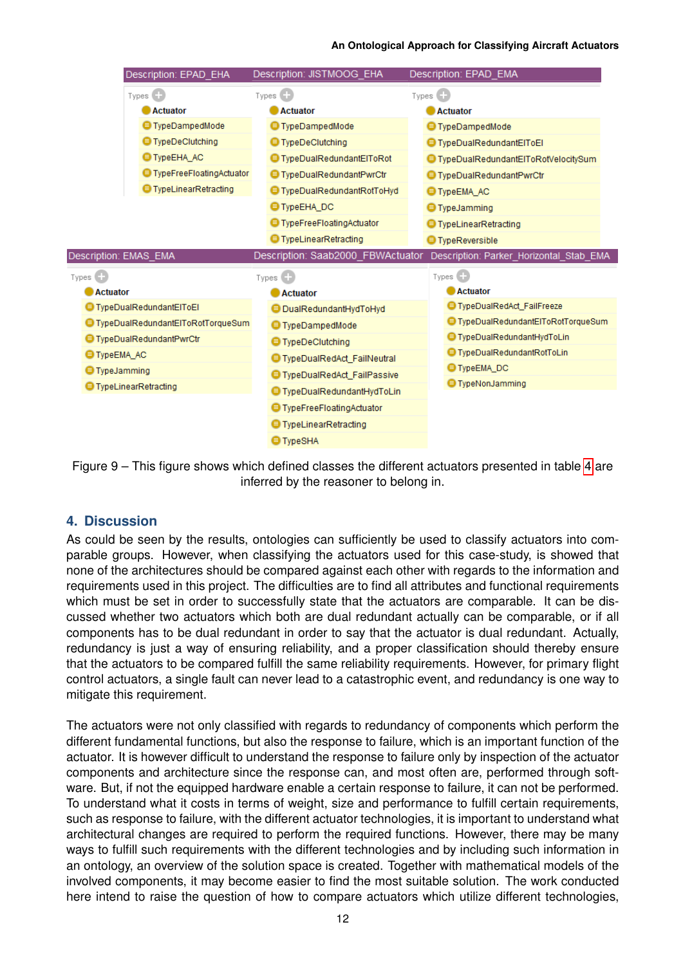#### **An Ontological Approach for Classifying Aircraft Actuators**

<span id="page-11-0"></span>

|             | Description: EPAD EHA               | Description: JISTMOOG_EHA          | Description: EPAD_EMA                   |
|-------------|-------------------------------------|------------------------------------|-----------------------------------------|
|             | Types $\Box$                        | Types $\Box$                       | Types $\Box$                            |
|             | <b>Actuator</b>                     | <b>Actuator</b>                    | <b>Actuator</b>                         |
|             | <b>■ TypeDampedMode</b>             | <b>■</b> TypeDampedMode            | <b>■ TypeDampedMode</b>                 |
|             | <b>■ TypeDeClutching</b>            | <b>■ TypeDeClutching</b>           | <b>■ TypeDualRedundantEIToEI</b>        |
|             | <b>● TypeEHA_AC</b>                 | ● TypeDualRedundantElToRot         | ● TypeDualRedundantElToRotVelocitySum   |
|             | <b>S</b> TypeFreeFloatingActuator   | <b>■ TypeDualRedundantPwrCtr</b>   | <b>■ TypeDualRedundantPwrCtr</b>        |
|             | <b>■</b> TypeLinearRetracting       | ● TypeDualRedundantRotToHyd        | <b>E</b> Type EMA AC                    |
|             |                                     | <b>TypeEHA DC</b>                  | <b>■</b> TypeJamming                    |
|             |                                     | <b>■ TypeFreeFloatingActuator</b>  | <b>■ TypeLinearRetracting</b>           |
|             |                                     | <b>■ TypeLinearRetracting</b>      | <b>O</b> TypeReversible                 |
|             | Description: EMAS_EMA               | Description: Saab2000_FBWActuator  | Description: Parker_Horizontal_Stab_EMA |
| $Types$ $-$ |                                     | Types $\blacksquare$               | Types                                   |
|             | <b>Actuator</b>                     | <b>Actuator</b>                    | <b>Actuator</b>                         |
|             | <b>■ TypeDualRedundantEIToEI</b>    | <b>B</b> DualRedundantHydToHyd     | TypeDualRedAct_FailFreeze               |
|             | ■ TypeDualRedundantEIToRotTorqueSum | <b>■</b> TypeDampedMode            | ● TypeDualRedundantElToRotTorqueSum     |
|             | <b>■ TypeDualRedundantPwrCtr</b>    | <b>■ TypeDeClutching</b>           | ● TypeDualRedundantHydToLin             |
|             | <b>TypeEMA AC</b>                   | ● TypeDualRedAct_FailNeutral       | ● TypeDualRedundantRotToLin             |
|             | <b>TypeJamming</b>                  | TypeDualRedAct_FailPassive         | ● TypeEMA_DC                            |
|             | <b>■</b> TypeLinearRetracting       |                                    | <b>E</b> TypeNonJamming                 |
|             |                                     | <b>■ TypeDualRedundantHydToLin</b> |                                         |
|             |                                     | <b>■</b> TypeFreeFloatingActuator  |                                         |
|             |                                     | <b>■</b> TypeLinearRetracting      |                                         |
|             |                                     | <b>■</b> TypeSHA                   |                                         |



#### **4. Discussion**

As could be seen by the results, ontologies can sufficiently be used to classify actuators into comparable groups. However, when classifying the actuators used for this case-study, is showed that none of the architectures should be compared against each other with regards to the information and requirements used in this project. The difficulties are to find all attributes and functional requirements which must be set in order to successfully state that the actuators are comparable. It can be discussed whether two actuators which both are dual redundant actually can be comparable, or if all components has to be dual redundant in order to say that the actuator is dual redundant. Actually, redundancy is just a way of ensuring reliability, and a proper classification should thereby ensure that the actuators to be compared fulfill the same reliability requirements. However, for primary flight control actuators, a single fault can never lead to a catastrophic event, and redundancy is one way to mitigate this requirement.

The actuators were not only classified with regards to redundancy of components which perform the different fundamental functions, but also the response to failure, which is an important function of the actuator. It is however difficult to understand the response to failure only by inspection of the actuator components and architecture since the response can, and most often are, performed through software. But, if not the equipped hardware enable a certain response to failure, it can not be performed. To understand what it costs in terms of weight, size and performance to fulfill certain requirements, such as response to failure, with the different actuator technologies, it is important to understand what architectural changes are required to perform the required functions. However, there may be many ways to fulfill such requirements with the different technologies and by including such information in an ontology, an overview of the solution space is created. Together with mathematical models of the involved components, it may become easier to find the most suitable solution. The work conducted here intend to raise the question of how to compare actuators which utilize different technologies,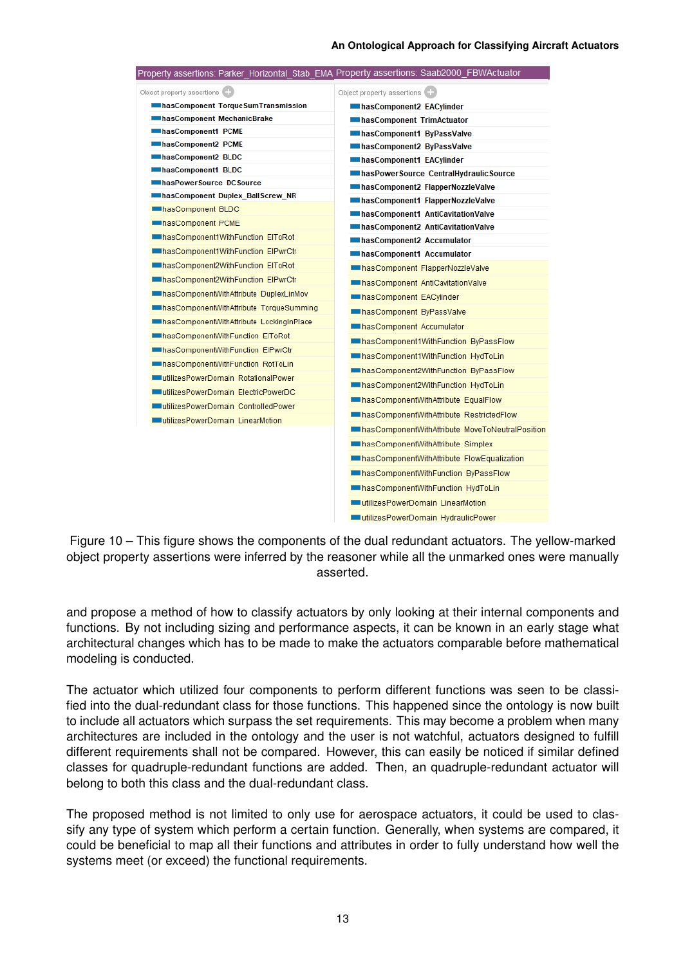#### **An Ontological Approach for Classifying Aircraft Actuators**

<span id="page-12-0"></span>

| Property assertions: Parker_Horizontal_Stab_EMA_Property assertions: Saab2000_FBWActuator_ |                                                          |
|--------------------------------------------------------------------------------------------|----------------------------------------------------------|
| Object property assertions (+                                                              | Object property assertions (4)                           |
| InasComponent TorqueSumTransmission                                                        | hasComponent2 EACylinder                                 |
| hasComponent MechanicBrake                                                                 | InasComponent TrimActuator                               |
| hasComponent1 PCME                                                                         | hasComponent1 ByPassValve                                |
| hasComponent2 PCME                                                                         | hasComponent2 ByPassValve                                |
| hasComponent2 BLDC                                                                         | hasComponent1 EACylinder                                 |
| hasComponent1 BLDC                                                                         | InasPowerSource CentralHydraulicSource                   |
| has Power Source DC Source                                                                 | InasComponent2 FlapperNozzleValve                        |
| hasComponent Duplex BallScrew NR                                                           | hasComponent1 FlapperNozzleValve                         |
| hasComponent BLDC                                                                          | InasComponent1 AntiCavitationValve                       |
| hasComponent PCME                                                                          | InasComponent2 AntiCavitationValve                       |
| hasComponent1WithFunction EIToRot                                                          | hasComponent2 Accumulator                                |
| InasComponent1WithFunction ElPwrCtr                                                        | hasComponent1 Accumulator                                |
| hasComponent2WithFunction EIToRot                                                          | In has Component FlapperNozzleValve                      |
| InasComponent2WithFunction ElPwrCtr                                                        | In has Component AntiCavitation Valve                    |
| In has Component With Attribute Duplex Lin Mov                                             | hasComponent EACylinder                                  |
| In has Component With Attribute Torque Summing                                             | InasComponent ByPassValve                                |
| InasComponentWithAttribute LockingInPlace                                                  | hasComponent Accumulator                                 |
| InasComponentWithFunction EIToRot                                                          | InasComponent1WithFunction ByPassFlow                    |
| InasComponentWithFunction ElPwrCtr                                                         | has Component 1 With Function HydToLin                   |
| InasComponentWithFunction RotToLin                                                         | InasComponent2WithFunction ByPassFlow                    |
| utilizesPowerDomain RotationalPower                                                        |                                                          |
| utilizesPowerDomain ElectricPowerDC                                                        | In has Component 2With Function HydToLin                 |
| utilizesPowerDomain ControlledPower                                                        | In has Component With Attribute Equal Flow               |
| utilizesPowerDomain LinearMotion                                                           | In has Component With Attribute Restricted Flow          |
|                                                                                            | In has Component With Attribute Move To Neutral Position |
|                                                                                            | In has Component With Attribute Simplex                  |
|                                                                                            | In has Component With Attribute Flow Equalization        |
|                                                                                            | InasComponentWithFunction ByPassFlow                     |
|                                                                                            | In has Component With Function HydToLin                  |
|                                                                                            | utilizesPowerDomain LinearMotion                         |
|                                                                                            | utilizesPowerDomain HydraulicPower                       |

Figure 10 – This figure shows the components of the dual redundant actuators. The yellow-marked object property assertions were inferred by the reasoner while all the unmarked ones were manually asserted.

and propose a method of how to classify actuators by only looking at their internal components and functions. By not including sizing and performance aspects, it can be known in an early stage what architectural changes which has to be made to make the actuators comparable before mathematical modeling is conducted.

The actuator which utilized four components to perform different functions was seen to be classified into the dual-redundant class for those functions. This happened since the ontology is now built to include all actuators which surpass the set requirements. This may become a problem when many architectures are included in the ontology and the user is not watchful, actuators designed to fulfill different requirements shall not be compared. However, this can easily be noticed if similar defined classes for quadruple-redundant functions are added. Then, an quadruple-redundant actuator will belong to both this class and the dual-redundant class.

The proposed method is not limited to only use for aerospace actuators, it could be used to classify any type of system which perform a certain function. Generally, when systems are compared, it could be beneficial to map all their functions and attributes in order to fully understand how well the systems meet (or exceed) the functional requirements.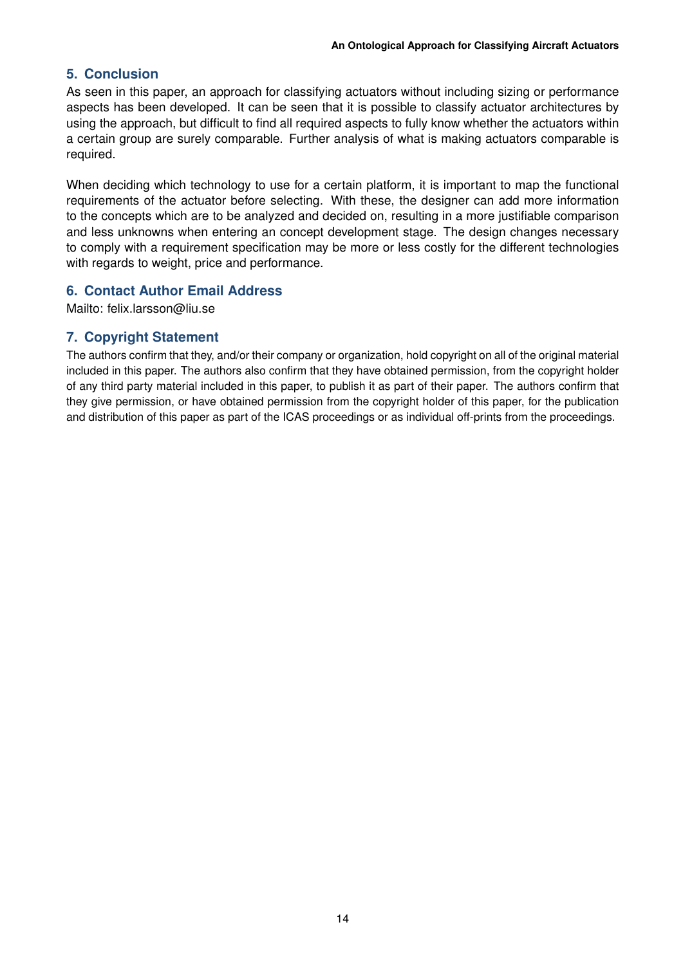## **5. Conclusion**

As seen in this paper, an approach for classifying actuators without including sizing or performance aspects has been developed. It can be seen that it is possible to classify actuator architectures by using the approach, but difficult to find all required aspects to fully know whether the actuators within a certain group are surely comparable. Further analysis of what is making actuators comparable is required.

When deciding which technology to use for a certain platform, it is important to map the functional requirements of the actuator before selecting. With these, the designer can add more information to the concepts which are to be analyzed and decided on, resulting in a more justifiable comparison and less unknowns when entering an concept development stage. The design changes necessary to comply with a requirement specification may be more or less costly for the different technologies with regards to weight, price and performance.

## **6. Contact Author Email Address**

Mailto: felix.larsson@liu.se

## **7. Copyright Statement**

The authors confirm that they, and/or their company or organization, hold copyright on all of the original material included in this paper. The authors also confirm that they have obtained permission, from the copyright holder of any third party material included in this paper, to publish it as part of their paper. The authors confirm that they give permission, or have obtained permission from the copyright holder of this paper, for the publication and distribution of this paper as part of the ICAS proceedings or as individual off-prints from the proceedings.